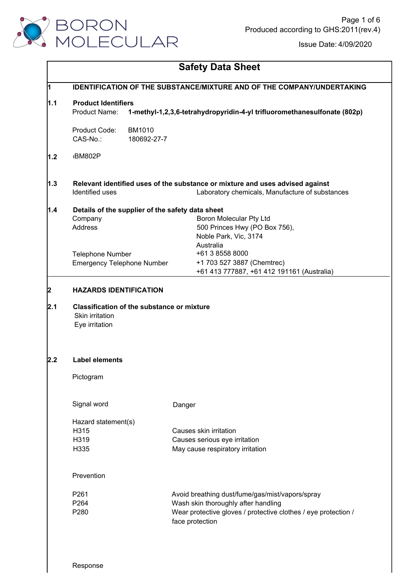

|             |                                                                                           | <b>Safety Data Sheet</b>                                                      |  |  |  |
|-------------|-------------------------------------------------------------------------------------------|-------------------------------------------------------------------------------|--|--|--|
| $\mathbf 1$ | <b>IDENTIFICATION OF THE SUBSTANCE/MIXTURE AND OF THE COMPANY/UNDERTAKING</b>             |                                                                               |  |  |  |
| 1.1         | <b>Product Identifiers</b>                                                                |                                                                               |  |  |  |
|             | Product Name:<br>1-methyl-1,2,3,6-tetrahydropyridin-4-yl trifluoromethanesulfonate (802p) |                                                                               |  |  |  |
|             | Product Code:<br><b>BM1010</b>                                                            |                                                                               |  |  |  |
|             | CAS-No.:<br>180692-27-7                                                                   |                                                                               |  |  |  |
| 1.2         | BM802P                                                                                    |                                                                               |  |  |  |
| 1.3         |                                                                                           | Relevant identified uses of the substance or mixture and uses advised against |  |  |  |
|             | Identified uses                                                                           | Laboratory chemicals, Manufacture of substances                               |  |  |  |
| 1.4         | Details of the supplier of the safety data sheet                                          |                                                                               |  |  |  |
|             | Company                                                                                   | <b>Boron Molecular Pty Ltd</b>                                                |  |  |  |
|             | <b>Address</b>                                                                            | 500 Princes Hwy (PO Box 756),                                                 |  |  |  |
|             |                                                                                           | Noble Park, Vic, 3174                                                         |  |  |  |
|             |                                                                                           | Australia                                                                     |  |  |  |
|             | <b>Telephone Number</b>                                                                   | +61 3 8558 8000                                                               |  |  |  |
|             | <b>Emergency Telephone Number</b>                                                         | +1 703 527 3887 (Chemtrec)<br>+61 413 777887, +61 412 191161 (Australia)      |  |  |  |
| 2.1         | <b>Classification of the substance or mixture</b><br>Skin irritation<br>Eye irritation    |                                                                               |  |  |  |
| 2.2         | <b>Label elements</b>                                                                     |                                                                               |  |  |  |
|             | Pictogram                                                                                 |                                                                               |  |  |  |
|             | Signal word                                                                               | Danger                                                                        |  |  |  |
|             | Hazard statement(s)                                                                       |                                                                               |  |  |  |
|             | H <sub>315</sub>                                                                          | Causes skin irritation                                                        |  |  |  |
|             | H319                                                                                      | Causes serious eye irritation                                                 |  |  |  |
|             | H335                                                                                      | May cause respiratory irritation                                              |  |  |  |
|             | Prevention                                                                                |                                                                               |  |  |  |
|             |                                                                                           |                                                                               |  |  |  |
|             | P261                                                                                      | Avoid breathing dust/fume/gas/mist/vapors/spray                               |  |  |  |
|             | P264                                                                                      | Wash skin thoroughly after handling                                           |  |  |  |
|             | P280                                                                                      | Wear protective gloves / protective clothes / eye protection /                |  |  |  |
|             |                                                                                           | face protection                                                               |  |  |  |
|             |                                                                                           |                                                                               |  |  |  |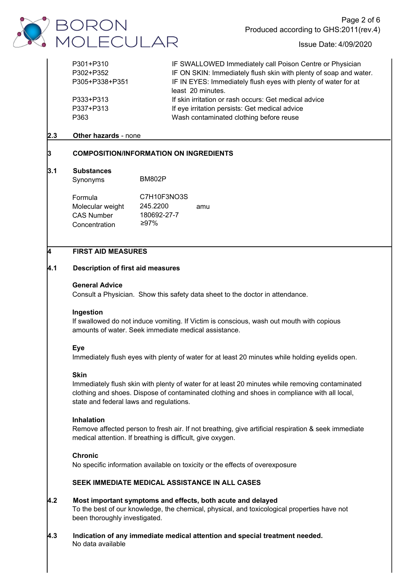

| P301+P310      | IF SWALLOWED Immediately call Poison Centre or Physician          |
|----------------|-------------------------------------------------------------------|
| P302+P352      | IF ON SKIN: Immediately flush skin with plenty of soap and water. |
| P305+P338+P351 | IF IN EYES: Immediately flush eyes with plenty of water for at    |
|                | least 20 minutes.                                                 |
| P333+P313      | If skin irritation or rash occurs: Get medical advice             |
| P337+P313      | If eye irritation persists: Get medical advice                    |
| P363           | Wash contaminated clothing before reuse                           |
|                |                                                                   |

# **2.3 Other hazards** - none

# **3 COMPOSITION/INFORMATION ON INGREDIENTS**

#### **3.1 Substances**

Synonyms

Formula Molecular weight 245.2200 amu CAS Number BM802P C7H10F3NO3S 245.2200 180692-27-7

≥97%

# **4 FIRST AID MEASURES**

Concentration

# ES<br>id measures<br>Show this sa **4.1 Description of first aid measures**

#### **General Advice**

Consult a Physician. Show this safety data sheet to the doctor in attendance.

#### **Ingestion**

If swallowed do not induce vomiting. If Victim is conscious, wash out mouth with copious amounts of water. Seek immediate medical assistance.

# **Eye**

Immediately flush eyes with plenty of water for at least 20 minutes while holding eyelids open.

# **Skin**

Immediately flush skin with plenty of water for at least 20 minutes while removing contaminated clothing and shoes. Dispose of contaminated clothing and shoes in compliance with all local, state and federal laws and regulations.

# **Inhalation**

Remove affected person to fresh air. If not breathing, give artificial respiration & seek immediate medical attention. If breathing is difficult, give oxygen.

#### **Chronic**

No specific information available on toxicity or the effects of overexposure

# **SEEK IMMEDIATE MEDICAL ASSISTANCE IN ALL CASES**

# **4.2 Most important symptoms and effects, both acute and delayed** To the best of our knowledge, the chemical, physical, and toxicological properties have not been thoroughly investigated.

**4.3 Indication of any immediate medical attention and special treatment needed.** No data available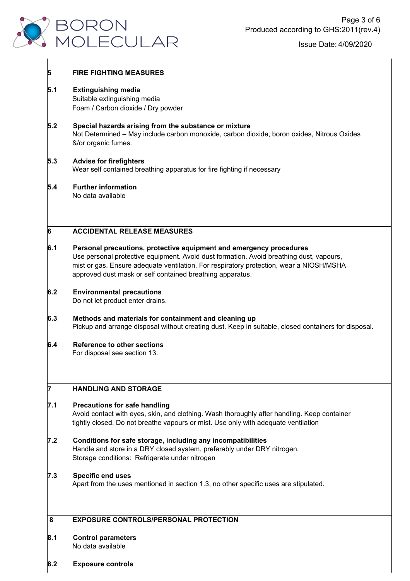

# **5 FIRE FIGHTING MEASURES 5.1 Extinguishing media** Suitable extinguishing media Foam / Carbon dioxide / Dry powder **5.2 Special hazards arising from the substance or mixture** Not Determined – May include carbon monoxide, carbon dioxide, boron oxides, Nitrous Oxides &/or organic fumes. **5.3 Advise for firefighters** Wear self contained breathing apparatus for fire fighting if necessary **5.4 Further information** No data available **6 ACCIDENTAL RELEASE MEASURES 6.1 Personal precautions, protective equipment and emergency procedures** Use personal protective equipment. Avoid dust formation. Avoid breathing dust, vapours, mist or gas. Ensure adequate ventilation. For respiratory protection, wear a NIOSH/MSHA approved dust mask or self contained breathing apparatus. **6.2 Environmental precautions** Do not let product enter drains. **6.3 Methods and materials for containment and cleaning up** Pickup and arrange disposal without creating dust. Keep in suitable, closed containers for disposal. **6.4 Reference to other sections** For disposal see section 13. **7 HANDLING AND STORAGE 7.1 Precautions for safe handling** Avoid contact with eyes, skin, and clothing. Wash thoroughly after handling. Keep container tightly closed. Do not breathe vapours or mist. Use only with adequate ventilation **7.2 Conditions for safe storage, including any incompatibilities** Handle and store in a DRY closed system, preferably under DRY nitrogen. Storage conditions: Refrigerate under nitrogen**7.3 Specific end uses** Apart from the uses mentioned in section 1.3, no other specific uses are stipulated. **8 EXPOSURE CONTROLS/PERSONAL PROTECTION 8.1 Control parameters** No data available

**8.2 Exposure controls**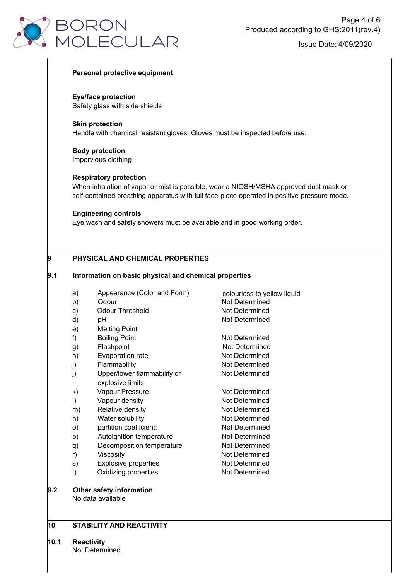

#### **Personal protective equipment**

**Eye/face protection** Safety glass with side shields

**Skin protection** Handle with chemical resistant gloves. Gloves must be inspected before use.

**Body protection** Impervious clothing

#### **Respiratory protection**

When inhalation of vapor or mist is possible, wear a NIOSH/MSHA approved dust mask or self-contained breathing apparatus with full face-piece operated in positive-pressure mode.

colourless to yellow liquid

Not Determined

#### **Engineering controls**

Eye wash and safety showers must be available and in good working order.

# **9 PHYSICAL AND CHEMICAL PROPERTIES**

### **9.1 Information on basic physical and chemical properties**

- a) Appearance (Color and Form)
- b) Odour Not Determined
- c) Odour Threshold Not Determined
- d) pH Not Determined
- e) Melting Point
- f) Boiling Point Not Determined
- g) Flashpoint
- h) Evaporation rate Not Determined
- i) Flammability **Not Determined**
- j) Upper/lower flammability or Not Determined explosive limits
- k) Vapour Pressure Not Determined
- l) Vapour density Not Determined
- m) Relative density **Not Determined**
- n) Water solubility Not Determined
- o) partition coefficient: Not Determined
- p) Autoignition temperature Not Determined
- q) Decomposition temperature Not Determined
- r) Viscosity **Viscosity** Viscosity **Not Determined**
- s) Explosive properties Not Determined
- t) Oxidizing properties Not Determined
- **9.2 Other safety information** No data available

# **10 STABILITY AND REACTIVITY**

**10.1 Reactivity**

Not Determined.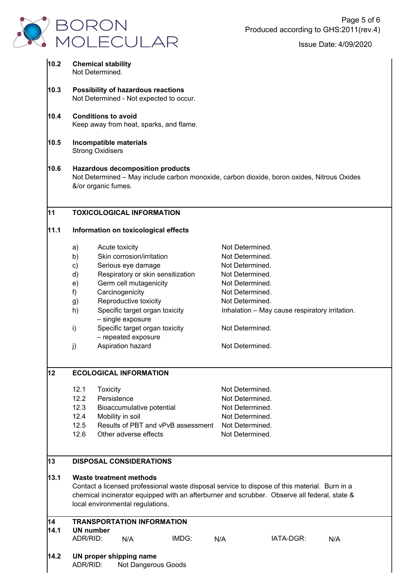

| 10.2                                         | <b>Chemical stability</b><br>Not Determined.                                                                                                                                                                                                                        |                         |                                                                                                                                                                                                                                                                                                                                                                                                     |                                    |                                                                                                                                                                                                                                                                        |                                                |  |  |  |
|----------------------------------------------|---------------------------------------------------------------------------------------------------------------------------------------------------------------------------------------------------------------------------------------------------------------------|-------------------------|-----------------------------------------------------------------------------------------------------------------------------------------------------------------------------------------------------------------------------------------------------------------------------------------------------------------------------------------------------------------------------------------------------|------------------------------------|------------------------------------------------------------------------------------------------------------------------------------------------------------------------------------------------------------------------------------------------------------------------|------------------------------------------------|--|--|--|
| 10.3                                         | Possibility of hazardous reactions<br>Not Determined - Not expected to occur.                                                                                                                                                                                       |                         |                                                                                                                                                                                                                                                                                                                                                                                                     |                                    |                                                                                                                                                                                                                                                                        |                                                |  |  |  |
| 10.4                                         | <b>Conditions to avoid</b><br>Keep away from heat, sparks, and flame.                                                                                                                                                                                               |                         |                                                                                                                                                                                                                                                                                                                                                                                                     |                                    |                                                                                                                                                                                                                                                                        |                                                |  |  |  |
| 10.5                                         | Incompatible materials<br><b>Strong Oxidisers</b>                                                                                                                                                                                                                   |                         |                                                                                                                                                                                                                                                                                                                                                                                                     |                                    |                                                                                                                                                                                                                                                                        |                                                |  |  |  |
| 10.6                                         | <b>Hazardous decomposition products</b><br>Not Determined - May include carbon monoxide, carbon dioxide, boron oxides, Nitrous Oxides<br>&/or organic fumes.                                                                                                        |                         |                                                                                                                                                                                                                                                                                                                                                                                                     |                                    |                                                                                                                                                                                                                                                                        |                                                |  |  |  |
| 11                                           |                                                                                                                                                                                                                                                                     |                         | <b>TOXICOLOGICAL INFORMATION</b>                                                                                                                                                                                                                                                                                                                                                                    |                                    |                                                                                                                                                                                                                                                                        |                                                |  |  |  |
| 11.1<br>Information on toxicological effects |                                                                                                                                                                                                                                                                     |                         |                                                                                                                                                                                                                                                                                                                                                                                                     |                                    |                                                                                                                                                                                                                                                                        |                                                |  |  |  |
| 12                                           | a)<br>b)<br>$\mathsf{c})$<br>d)<br>e)<br>f)<br>g)<br>h)<br>i)<br>j)<br>12.1<br>12.2<br>12.3<br>12.4<br>12.5                                                                                                                                                         | Toxicity<br>Persistence | Acute toxicity<br>Skin corrosion/irritation<br>Serious eye damage<br>Respiratory or skin sensitization<br>Germ cell mutagenicity<br>Carcinogenicity<br>Reproductive toxicity<br>Specific target organ toxicity<br>- single exposure<br>Specific target organ toxicity<br>- repeated exposure<br>Aspiration hazard<br><b>ECOLOGICAL INFORMATION</b><br>Bioaccumulative potential<br>Mobility in soil | Results of PBT and vPvB assessment | Not Determined.<br>Not Determined.<br>Not Determined.<br>Not Determined.<br>Not Determined.<br>Not Determined.<br>Not Determined.<br>Not Determined.<br>Not Determined.<br>Not Determined.<br>Not Determined.<br>Not Determined.<br>Not Determined.<br>Not Determined. | Inhalation - May cause respiratory irritation. |  |  |  |
|                                              | 12.6                                                                                                                                                                                                                                                                |                         | Other adverse effects                                                                                                                                                                                                                                                                                                                                                                               |                                    | Not Determined.                                                                                                                                                                                                                                                        |                                                |  |  |  |
| 13                                           | <b>DISPOSAL CONSIDERATIONS</b>                                                                                                                                                                                                                                      |                         |                                                                                                                                                                                                                                                                                                                                                                                                     |                                    |                                                                                                                                                                                                                                                                        |                                                |  |  |  |
| 13.1                                         | <b>Waste treatment methods</b><br>Contact a licensed professional waste disposal service to dispose of this material. Burn in a<br>chemical incinerator equipped with an afterburner and scrubber. Observe all federal, state &<br>local environmental regulations. |                         |                                                                                                                                                                                                                                                                                                                                                                                                     |                                    |                                                                                                                                                                                                                                                                        |                                                |  |  |  |
| 14<br>14.1                                   | <b>TRANSPORTATION INFORMATION</b><br><b>UN</b> number<br>ADR/RID:<br>IMDG:<br>IATA-DGR:<br>N/A<br>N/A<br>N/A                                                                                                                                                        |                         |                                                                                                                                                                                                                                                                                                                                                                                                     |                                    |                                                                                                                                                                                                                                                                        |                                                |  |  |  |
| 14.2                                         | ADR/RID:                                                                                                                                                                                                                                                            |                         | UN proper shipping name<br>Not Dangerous Goods                                                                                                                                                                                                                                                                                                                                                      |                                    |                                                                                                                                                                                                                                                                        |                                                |  |  |  |